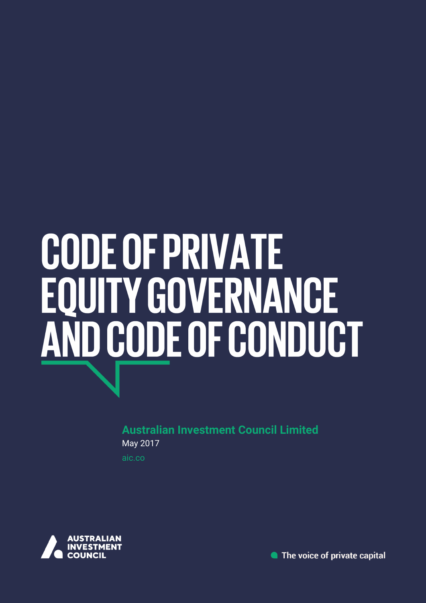# **CODE OF PRIVATE** EQUITY GOVERNANCE<br>AND CODE OF CONDUCT

**Australian Investment Council Limited** May 2017

aic.co



• The voice of private capital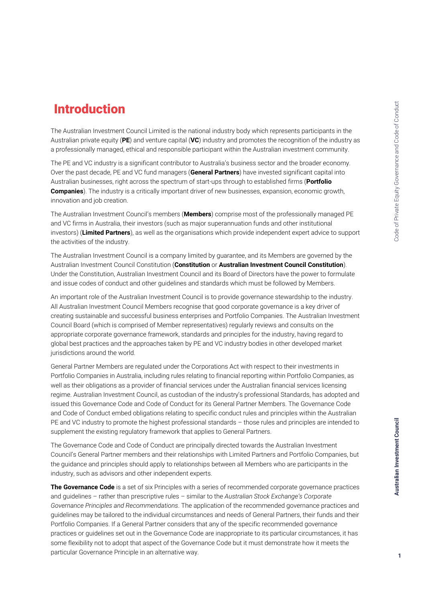# Introduction

The Australian Investment Council Limited is the national industry body which represents participants in the Australian private equity (**PE**) and venture capital (**VC**) industry and promotes the recognition of the industry as a professionally managed, ethical and responsible participant within the Australian investment community.

The PE and VC industry is a significant contributor to Australia's business sector and the broader economy. Over the past decade, PE and VC fund managers (**General Partners**) have invested significant capital into Australian businesses, right across the spectrum of start-ups through to established firms (**Portfolio Companies**). The industry is a critically important driver of new businesses, expansion, economic growth, innovation and job creation.

The Australian Investment Council's members (**Members**) comprise most of the professionally managed PE and VC firms in Australia, their investors (such as major superannuation funds and other institutional investors) (**Limited Partners**), as well as the organisations which provide independent expert advice to support the activities of the industry.

The Australian Investment Council is a company limited by guarantee, and its Members are governed by the Australian Investment Council Constitution (**Constitution** or **Australian Investment Council Constitution**). Under the Constitution, Australian Investment Council and its Board of Directors have the power to formulate and issue codes of conduct and other guidelines and standards which must be followed by Members.

An important role of the Australian Investment Council is to provide governance stewardship to the industry. All Australian Investment Council Members recognise that good corporate governance is a key driver of creating sustainable and successful business enterprises and Portfolio Companies. The Australian Investment Council Board (which is comprised of Member representatives) regularly reviews and consults on the appropriate corporate governance framework, standards and principles for the industry, having regard to global best practices and the approaches taken by PE and VC industry bodies in other developed market jurisdictions around the world.

General Partner Members are regulated under the Corporations Act with respect to their investments in Portfolio Companies in Australia, including rules relating to financial reporting within Portfolio Companies, as well as their obligations as a provider of financial services under the Australian financial services licensing regime. Australian Investment Council, as custodian of the industry's professional Standards, has adopted and issued this Governance Code and Code of Conduct for its General Partner Members. The Governance Code and Code of Conduct embed obligations relating to specific conduct rules and principles within the Australian PE and VC industry to promote the highest professional standards – those rules and principles are intended to supplement the existing regulatory framework that applies to General Partners.

The Governance Code and Code of Conduct are principally directed towards the Australian Investment Council's General Partner members and their relationships with Limited Partners and Portfolio Companies, but the guidance and principles should apply to relationships between all Members who are participants in the industry, such as advisors and other independent experts.

**The Governance Code** is a set of six Principles with a series of recommended corporate governance practices and guidelines – rather than prescriptive rules – similar to the *Australian Stock Exchange's Corporate Governance Principles and Recommendations*. The application of the recommended governance practices and guidelines may be tailored to the individual circumstances and needs of General Partners, their funds and their Portfolio Companies. If a General Partner considers that any of the specific recommended governance practices or guidelines set out in the Governance Code are inappropriate to its particular circumstances, it has some flexibility not to adopt that aspect of the Governance Code but it must demonstrate how it meets the particular Governance Principle in an alternative way.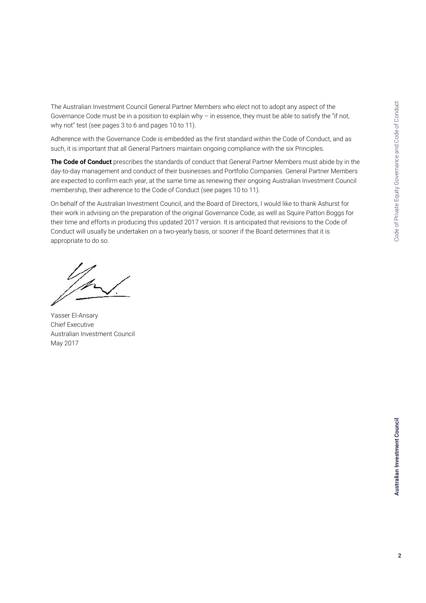The Australian Investment Council General Partner Members who elect not to adopt any aspect of the Governance Code must be in a position to explain why – in essence, they must be able to satisfy the "if not, why not" test (see pages 3 to 6 and pages 10 to 11).

Adherence with the Governance Code is embedded as the first standard within the Code of Conduct, and as such, it is important that all General Partners maintain ongoing compliance with the six Principles.

**The Code of Conduct** prescribes the standards of conduct that General Partner Members must abide by in the day-to-day management and conduct of their businesses and Portfolio Companies. General Partner Members are expected to confirm each year, at the same time as renewing their ongoing Australian Investment Council membership, their adherence to the Code of Conduct (see pages 10 to 11).

On behalf of the Australian Investment Council, and the Board of Directors, I would like to thank Ashurst for their work in advising on the preparation of the original Governance Code, as well as Squire Patton Boggs for their time and efforts in producing this updated 2017 version. It is anticipated that revisions to the Code of Conduct will usually be undertaken on a two-yearly basis, or sooner if the Board determines that it is appropriate to do so.

Yasser El-Ansary Chief Executive Australian Investment Council May 2017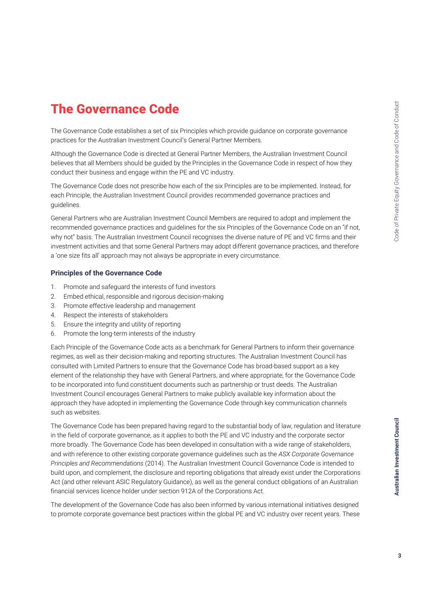# The Governance Code

The Governance Code establishes a set of six Principles which provide guidance on corporate governance practices for the Australian Investment Council's General Partner Members.

Although the Governance Code is directed at General Partner Members, the Australian Investment Council believes that all Members should be guided by the Principles in the Governance Code in respect of how they conduct their business and engage within the PE and VC industry.

The Governance Code does not prescribe how each of the six Principles are to be implemented. Instead, for each Principle, the Australian Investment Council provides recommended governance practices and guidelines.

General Partners who are Australian Investment Council Members are required to adopt and implement the recommended governance practices and guidelines for the six Principles of the Governance Code on an "if not, why not" basis. The Australian Investment Council recognises the diverse nature of PE and VC firms and their investment activities and that some General Partners may adopt different governance practices, and therefore a 'one size fits all' approach may not always be appropriate in every circumstance.

### **Principles of the Governance Code**

- 1. Promote and safeguard the interests of fund investors
- 2. Embed ethical, responsible and rigorous decision-making
- 3. Promote effective leadership and management
- 4. Respect the interests of stakeholders
- 5. Ensure the integrity and utility of reporting
- 6. Promote the long-term interests of the industry

Each Principle of the Governance Code acts as a benchmark for General Partners to inform their governance regimes, as well as their decision-making and reporting structures. The Australian Investment Council has consulted with Limited Partners to ensure that the Governance Code has broad-based support as a key element of the relationship they have with General Partners, and where appropriate, for the Governance Code to be incorporated into fund constituent documents such as partnership or trust deeds. The Australian Investment Council encourages General Partners to make publicly available key information about the approach they have adopted in implementing the Governance Code through key communication channels such as websites.

The Governance Code has been prepared having regard to the substantial body of law, regulation and literature in the field of corporate governance, as it applies to both the PE and VC industry and the corporate sector more broadly. The Governance Code has been developed in consultation with a wide range of stakeholders, and with reference to other existing corporate governance guidelines such as the *ASX Corporate Governance Principles and Recommendations* (2014). The Australian Investment Council Governance Code is intended to build upon, and complement, the disclosure and reporting obligations that already exist under the Corporations Act (and other relevant ASIC Regulatory Guidance), as well as the general conduct obligations of an Australian financial services licence holder under section 912A of the Corporations Act.

The development of the Governance Code has also been informed by various international initiatives designed to promote corporate governance best practices within the global PE and VC industry over recent years. These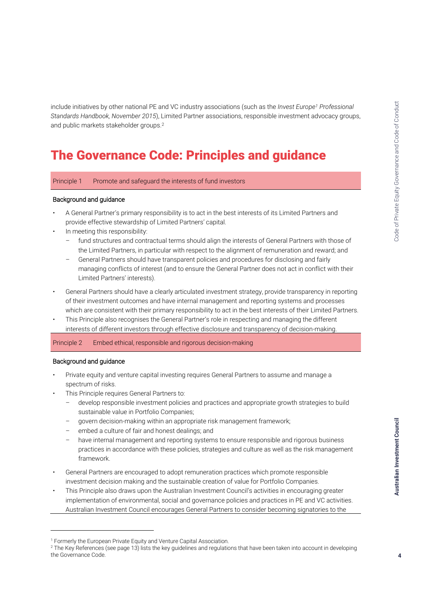include initiatives by other national PE and VC industry associations (such as the *Invest Europe<sup>1</sup> Professional Standards Handbook, November 2015*), Limited Partner associations, responsible investment advocacy groups, and public markets stakeholder groups.<sup>2</sup>

## The Governance Code: Principles and guidance

Principle 1 Promote and safeguard the interests of fund investors

### Background and guidance

- A General Partner's primary responsibility is to act in the best interests of its Limited Partners and provide effective stewardship of Limited Partners' capital.
- In meeting this responsibility:
	- fund structures and contractual terms should align the interests of General Partners with those of the Limited Partners, in particular with respect to the alignment of remuneration and reward; and
	- General Partners should have transparent policies and procedures for disclosing and fairly managing conflicts of interest (and to ensure the General Partner does not act in conflict with their Limited Partners' interests).
- General Partners should have a clearly articulated investment strategy, provide transparency in reporting of their investment outcomes and have internal management and reporting systems and processes which are consistent with their primary responsibility to act in the best interests of their Limited Partners.
- This Principle also recognises the General Partner's role in respecting and managing the different interests of different investors through effective disclosure and transparency of decision-making.

Principle 2 Embed ethical, responsible and rigorous decision-making

### Background and guidance

j

- Private equity and venture capital investing requires General Partners to assume and manage a spectrum of risks.
- This Principle requires General Partners to:
	- develop responsible investment policies and practices and appropriate growth strategies to build sustainable value in Portfolio Companies;
	- govern decision-making within an appropriate risk management framework;
	- embed a culture of fair and honest dealings; and
	- have internal management and reporting systems to ensure responsible and rigorous business practices in accordance with these policies, strategies and culture as well as the risk management framework.
- General Partners are encouraged to adopt remuneration practices which promote responsible investment decision making and the sustainable creation of value for Portfolio Companies.
- This Principle also draws upon the Australian Investment Council's activities in encouraging greater implementation of environmental, social and governance policies and practices in PE and VC activities. Australian Investment Council encourages General Partners to consider becoming signatories to the

<sup>&</sup>lt;sup>1</sup> Formerly the European Private Equity and Venture Capital Association.

<sup>&</sup>lt;sup>2</sup> The Key References (see page 13) lists the key guidelines and regulations that have been taken into account in developing the Governance Code.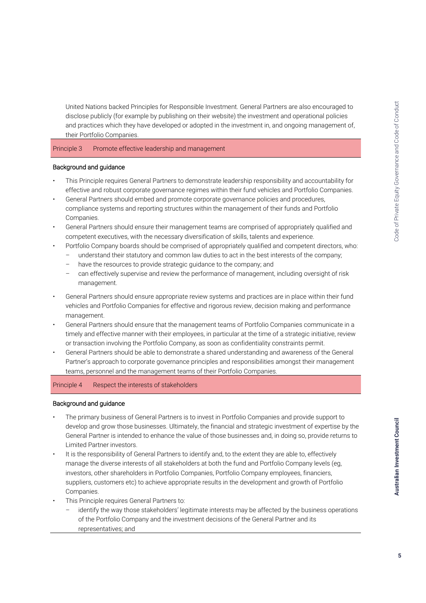United Nations backed Principles for Responsible Investment. General Partners are also encouraged to disclose publicly (for example by publishing on their website) the investment and operational policies and practices which they have developed or adopted in the investment in, and ongoing management of, their Portfolio Companies.

Principle 3 Promote effective leadership and management

### Background and guidance

- This Principle requires General Partners to demonstrate leadership responsibility and accountability for effective and robust corporate governance regimes within their fund vehicles and Portfolio Companies.
- General Partners should embed and promote corporate governance policies and procedures, compliance systems and reporting structures within the management of their funds and Portfolio Companies.
- General Partners should ensure their management teams are comprised of appropriately qualified and competent executives, with the necessary diversification of skills, talents and experience.
	- Portfolio Company boards should be comprised of appropriately qualified and competent directors, who:
		- understand their statutory and common law duties to act in the best interests of the company;
		- have the resources to provide strategic guidance to the company; and
		- can effectively supervise and review the performance of management, including oversight of risk management.
- General Partners should ensure appropriate review systems and practices are in place within their fund vehicles and Portfolio Companies for effective and rigorous review, decision making and performance management.
- General Partners should ensure that the management teams of Portfolio Companies communicate in a timely and effective manner with their employees, in particular at the time of a strategic initiative, review or transaction involving the Portfolio Company, as soon as confidentiality constraints permit.
- General Partners should be able to demonstrate a shared understanding and awareness of the General Partner's approach to corporate governance principles and responsibilities amongst their management teams, personnel and the management teams of their Portfolio Companies.

### Principle 4 Respect the interests of stakeholders

### Background and guidance

- The primary business of General Partners is to invest in Portfolio Companies and provide support to develop and grow those businesses. Ultimately, the financial and strategic investment of expertise by the General Partner is intended to enhance the value of those businesses and, in doing so, provide returns to Limited Partner investors.
- It is the responsibility of General Partners to identify and, to the extent they are able to, effectively manage the diverse interests of all stakeholders at both the fund and Portfolio Company levels (eg, investors, other shareholders in Portfolio Companies, Portfolio Company employees, financiers, suppliers, customers etc) to achieve appropriate results in the development and growth of Portfolio Companies.
- This Principle requires General Partners to:
	- identify the way those stakeholders' legitimate interests may be affected by the business operations of the Portfolio Company and the investment decisions of the General Partner and its representatives; and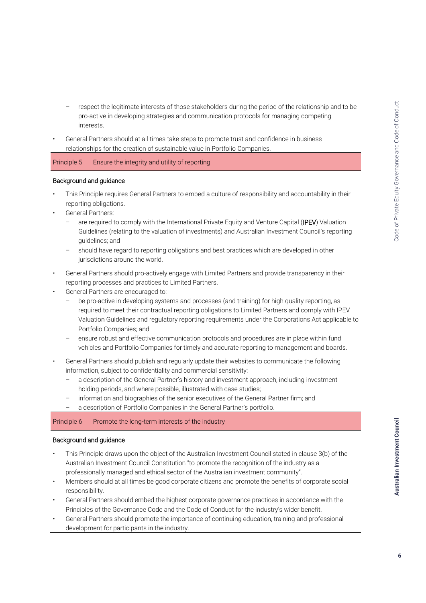- respect the legitimate interests of those stakeholders during the period of the relationship and to be pro-active in developing strategies and communication protocols for managing competing interests.
- General Partners should at all times take steps to promote trust and confidence in business relationships for the creation of sustainable value in Portfolio Companies.

Principle 5 Ensure the integrity and utility of reporting

### Background and guidance

- This Principle requires General Partners to embed a culture of responsibility and accountability in their reporting obligations.
- General Partners:
	- are required to comply with the International Private Equity and Venture Capital (IPEV) Valuation Guidelines (relating to the valuation of investments) and Australian Investment Council's reporting guidelines; and
	- should have regard to reporting obligations and best practices which are developed in other jurisdictions around the world.
- General Partners should pro-actively engage with Limited Partners and provide transparency in their reporting processes and practices to Limited Partners.
- General Partners are encouraged to:
	- be pro-active in developing systems and processes (and training) for high quality reporting, as required to meet their contractual reporting obligations to Limited Partners and comply with IPEV Valuation Guidelines and regulatory reporting requirements under the Corporations Act applicable to Portfolio Companies; and
	- ensure robust and effective communication protocols and procedures are in place within fund vehicles and Portfolio Companies for timely and accurate reporting to management and boards.
- General Partners should publish and regularly update their websites to communicate the following information, subject to confidentiality and commercial sensitivity:
	- a description of the General Partner's history and investment approach, including investment holding periods, and where possible, illustrated with case studies;
	- information and biographies of the senior executives of the General Partner firm; and
	- a description of Portfolio Companies in the General Partner's portfolio.

### Principle 6 Promote the long-term interests of the industry

### Background and guidance

- This Principle draws upon the object of the Australian Investment Council stated in clause 3(b) of the Australian Investment Council Constitution "to promote the recognition of the industry as a professionally managed and ethical sector of the Australian investment community".
- Members should at all times be good corporate citizens and promote the benefits of corporate social responsibility.
- General Partners should embed the highest corporate governance practices in accordance with the Principles of the Governance Code and the Code of Conduct for the industry's wider benefit.
- General Partners should promote the importance of continuing education, training and professional development for participants in the industry.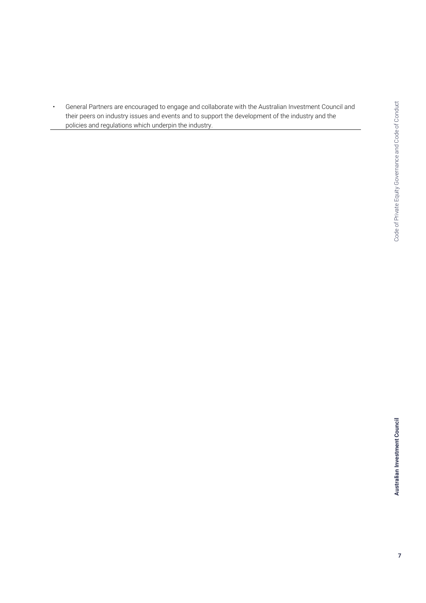• General Partners are encouraged to engage and collaborate with the Australian Investment Council and their peers on industry issues and events and to support the development of the industry and the policies and regulations which underpin the industry.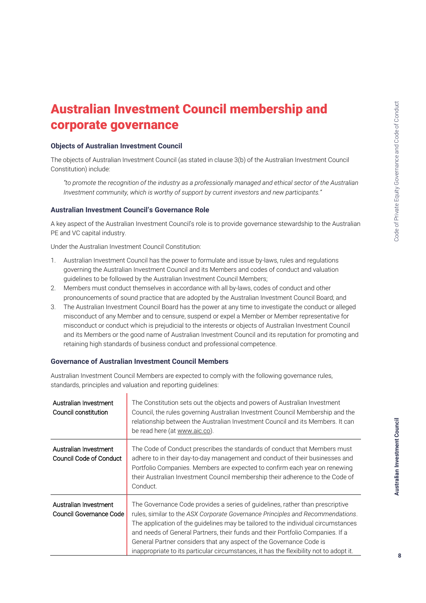# Australian Investment Council membership and corporate governance

### **Objects of Australian Investment Council**

The objects of Australian Investment Council (as stated in clause 3(b) of the Australian Investment Council Constitution) include:

*"to promote the recognition of the industry as a professionally managed and ethical sector of the Australian Investment community, which is worthy of support by current investors and new participants."*

### **Australian Investment Council's Governance Role**

A key aspect of the Australian Investment Council's role is to provide governance stewardship to the Australian PE and VC capital industry.

Under the Australian Investment Council Constitution:

- 1. Australian Investment Council has the power to formulate and issue by-laws, rules and regulations governing the Australian Investment Council and its Members and codes of conduct and valuation guidelines to be followed by the Australian Investment Council Members;
- 2. Members must conduct themselves in accordance with all by-laws, codes of conduct and other pronouncements of sound practice that are adopted by the Australian Investment Council Board; and
- 3. The Australian Investment Council Board has the power at any time to investigate the conduct or alleged misconduct of any Member and to censure, suspend or expel a Member or Member representative for misconduct or conduct which is prejudicial to the interests or objects of Australian Investment Council and its Members or the good name of Australian Investment Council and its reputation for promoting and retaining high standards of business conduct and professional competence.

### **Governance of Australian Investment Council Members**

h

Australian Investment Council Members are expected to comply with the following governance rules, standards, principles and valuation and reporting guidelines:

| Australian Investment<br>Council constitution    | The Constitution sets out the objects and powers of Australian Investment<br>Council, the rules governing Australian Investment Council Membership and the<br>relationship between the Australian Investment Council and its Members. It can<br>be read here (at www.aic.co).                                                                                                                                                                                                                           |
|--------------------------------------------------|---------------------------------------------------------------------------------------------------------------------------------------------------------------------------------------------------------------------------------------------------------------------------------------------------------------------------------------------------------------------------------------------------------------------------------------------------------------------------------------------------------|
| Australian Investment<br>Council Code of Conduct | The Code of Conduct prescribes the standards of conduct that Members must<br>adhere to in their day-to-day management and conduct of their businesses and<br>Portfolio Companies. Members are expected to confirm each year on renewing<br>their Australian Investment Council membership their adherence to the Code of<br>Conduct.                                                                                                                                                                    |
| Australian Investment<br>Council Governance Code | The Governance Code provides a series of guidelines, rather than prescriptive<br>rules, similar to the ASX Corporate Governance Principles and Recommendations.<br>The application of the guidelines may be tailored to the individual circumstances<br>and needs of General Partners, their funds and their Portfolio Companies. If a<br>General Partner considers that any aspect of the Governance Code is<br>inappropriate to its particular circumstances, it has the flexibility not to adopt it. |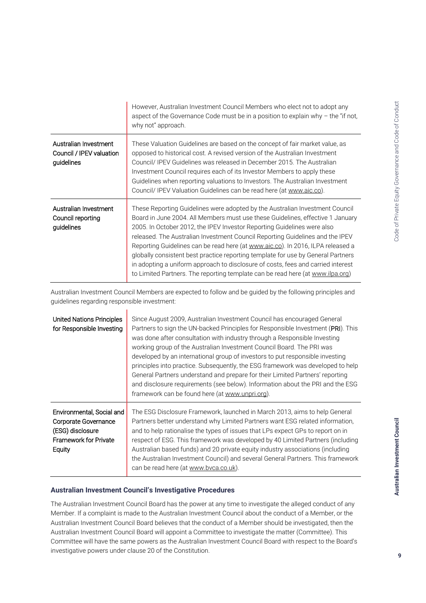|                                                                 | However, Australian Investment Council Members who elect not to adopt any<br>aspect of the Governance Code must be in a position to explain why $-$ the "if not,<br>why not" approach.                                                                                                                                                                                                                                                                                                                                                                                                                                                                                  |
|-----------------------------------------------------------------|-------------------------------------------------------------------------------------------------------------------------------------------------------------------------------------------------------------------------------------------------------------------------------------------------------------------------------------------------------------------------------------------------------------------------------------------------------------------------------------------------------------------------------------------------------------------------------------------------------------------------------------------------------------------------|
| Australian Investment<br>Council / IPEV valuation<br>guidelines | These Valuation Guidelines are based on the concept of fair market value, as<br>opposed to historical cost. A revised version of the Australian Investment<br>Council/ IPEV Guidelines was released in December 2015. The Australian<br>Investment Council requires each of its Investor Members to apply these<br>Guidelines when reporting valuations to Investors. The Australian Investment<br>Council/IPEV Valuation Guidelines can be read here (at www.aic.co).                                                                                                                                                                                                  |
| Australian Investment<br>Council reporting<br>guidelines        | These Reporting Guidelines were adopted by the Australian Investment Council<br>Board in June 2004. All Members must use these Guidelines, effective 1 January<br>2005. In October 2012, the IPEV Investor Reporting Guidelines were also<br>released. The Australian Investment Council Reporting Guidelines and the IPEV<br>Reporting Guidelines can be read here (at www.aic.co). In 2016, ILPA released a<br>globally consistent best practice reporting template for use by General Partners<br>in adopting a uniform approach to disclosure of costs, fees and carried interest<br>to Limited Partners. The reporting template can be read here (at www.ilpa.org) |

Australian Investment Council Members are expected to follow and be guided by the following principles and guidelines regarding responsible investment:

| United Nations Principles<br>for Responsible Investing                                                                 | Since August 2009, Australian Investment Council has encouraged General<br>Partners to sign the UN-backed Principles for Responsible Investment (PRI). This<br>was done after consultation with industry through a Responsible Investing<br>working group of the Australian Investment Council Board. The PRI was<br>developed by an international group of investors to put responsible investing<br>principles into practice. Subsequently, the ESG framework was developed to help<br>General Partners understand and prepare for their Limited Partners' reporting<br>and disclosure requirements (see below). Information about the PRI and the ESG<br>framework can be found here (at www.unpri.org). |
|------------------------------------------------------------------------------------------------------------------------|-------------------------------------------------------------------------------------------------------------------------------------------------------------------------------------------------------------------------------------------------------------------------------------------------------------------------------------------------------------------------------------------------------------------------------------------------------------------------------------------------------------------------------------------------------------------------------------------------------------------------------------------------------------------------------------------------------------|
| Environmental, Social and<br><b>Corporate Governance</b><br>(ESG) disclosure<br><b>Framework for Private</b><br>Equity | The ESG Disclosure Framework, launched in March 2013, aims to help General<br>Partners better understand why Limited Partners want ESG related information,<br>and to help rationalise the types of issues that LPs expect GPs to report on in<br>respect of ESG. This framework was developed by 40 Limited Partners (including<br>Australian based funds) and 20 private equity industry associations (including<br>the Australian Investment Council) and several General Partners. This framework<br>can be read here (at www.bvca.co.uk).                                                                                                                                                              |

### **Australian Investment Council's Investigative Procedures**

The Australian Investment Council Board has the power at any time to investigate the alleged conduct of any Member. If a complaint is made to the Australian Investment Council about the conduct of a Member, or the Australian Investment Council Board believes that the conduct of a Member should be investigated, then the Australian Investment Council Board will appoint a Committee to investigate the matter (Committee). This Committee will have the same powers as the Australian Investment Council Board with respect to the Board's investigative powers under clause 20 of the Constitution.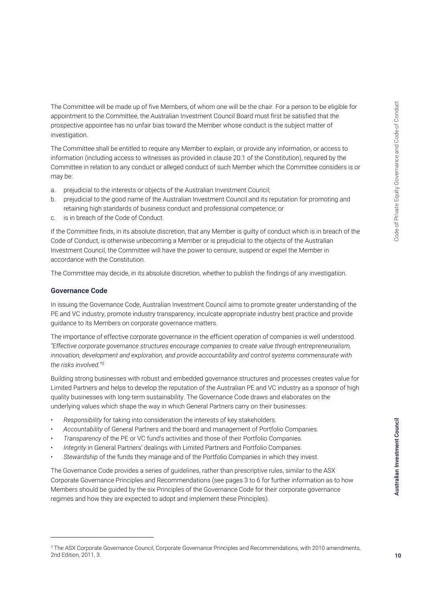The Committee will be made up of five Members, of whom one will be the chair. For a person to be eligible for appointment to the Committee, the Australian Investment Council Board must first be satisfied that the prospective appointee has no unfair bias toward the Member whose conduct is the subject matter of investigation.

The Committee shall be entitled to require any Member to explain, or provide any information, or access to information (including access to witnesses as provided in clause 20.1 of the Constitution), required by the Committee in relation to any conduct or alleged conduct of such Member which the Committee considers is or may be:

- a. prejudicial to the interests or objects of the Australian Investment Council;
- b. prejudicial to the good name of the Australian Investment Council and its reputation for promoting and retaining high standards of business conduct and professional competence; or
- c. is in breach of the Code of Conduct.

If the Committee finds, in its absolute discretion, that any Member is guilty of conduct which is in breach of the Code of Conduct, is otherwise unbecoming a Member or is prejudicial to the objects of the Australian Investment Council, the Committee will have the power to censure, suspend or expel the Member in accordance with the Constitution.

The Committee may decide, in its absolute discretion, whether to publish the findings of any investigation.

### **Governance Code**

j

In issuing the Governance Code, Australian Investment Council aims to promote greater understanding of the PE and VC industry, promote industry transparency, inculcate appropriate industry best practice and provide guidance to its Members on corporate governance matters.

The importance of effective corporate governance in the efficient operation of companies is well understood. *"Effective corporate governance structures encourage companies to create value through entrepreneurialism, innovation, development and exploration, and provide accountability and control systems commensurate with the risks involved."<sup>3</sup>*

Building strong businesses with robust and embedded governance structures and processes creates value for Limited Partners and helps to develop the reputation of the Australian PE and VC industry as a sponsor of high quality businesses with long-term sustainability. The Governance Code draws and elaborates on the underlying values which shape the way in which General Partners carry on their businesses:

- *Responsibility* for taking into consideration the interests of key stakeholders.
- *Accountability* of General Partners and the board and management of Portfolio Companies.
- *Transparency* of the PE or VC fund's activities and those of their Portfolio Companies.
- *Integrity* in General Partners' dealings with Limited Partners and Portfolio Companies.
- *Stewardship* of the funds they manage and of the Portfolio Companies in which they invest.

The Governance Code provides a series of guidelines, rather than prescriptive rules, similar to the ASX Corporate Governance Principles and Recommendations (see pages 3 to 6 for further information as to how Members should be guided by the six Principles of the Governance Code for their corporate governance regimes and how they are expected to adopt and implement these Principles).

<sup>&</sup>lt;sup>3</sup> The ASX Corporate Governance Council, Corporate Governance Principles and Recommendations, with 2010 amendments, 2nd Edition, 2011, 3.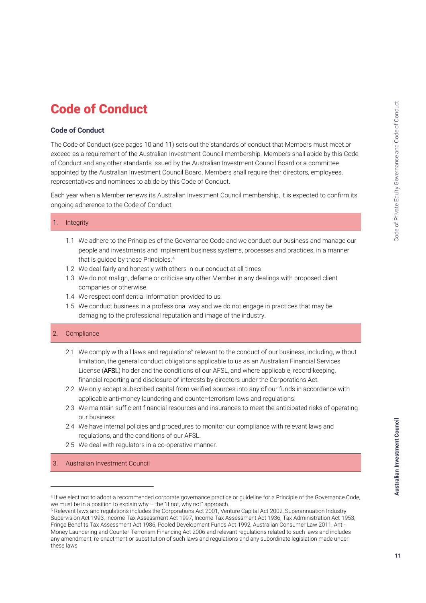# Code of Conduct

### **Code of Conduct**

The Code of Conduct (see pages 10 and 11) sets out the standards of conduct that Members must meet or exceed as a requirement of the Australian Investment Council membership. Members shall abide by this Code of Conduct and any other standards issued by the Australian Investment Council Board or a committee appointed by the Australian Investment Council Board. Members shall require their directors, employees, representatives and nominees to abide by this Code of Conduct.

Each year when a Member renews its Australian Investment Council membership, it is expected to confirm its ongoing adherence to the Code of Conduct.

### **Integrity**

- 1.1 We adhere to the Principles of the Governance Code and we conduct our business and manage our people and investments and implement business systems, processes and practices, in a manner that is guided by these Principles.<sup>4</sup>
- 1.2 We deal fairly and honestly with others in our conduct at all times
- 1.3 We do not malign, defame or criticise any other Member in any dealings with proposed client companies or otherwise.
- 1.4 We respect confidential information provided to us.
- 1.5 We conduct business in a professional way and we do not engage in practices that may be damaging to the professional reputation and image of the industry.

### 2. Compliance

 $\overline{a}$ 

- 2.1 We comply with all laws and regulations<sup>5</sup> relevant to the conduct of our business, including, without limitation, the general conduct obligations applicable to us as an Australian Financial Services License (AFSL) holder and the conditions of our AFSL, and where applicable, record keeping, financial reporting and disclosure of interests by directors under the Corporations Act.
- 2.2 We only accept subscribed capital from verified sources into any of our funds in accordance with applicable anti-money laundering and counter-terrorism laws and regulations.
- 2.3 We maintain sufficient financial resources and insurances to meet the anticipated risks of operating our business.
- 2.4 We have internal policies and procedures to monitor our compliance with relevant laws and regulations, and the conditions of our AFSL.
- 2.5 We deal with regulators in a co-operative manner.

3. Australian Investment Council

<sup>4</sup> If we elect not to adopt a recommended corporate governance practice or guideline for a Principle of the Governance Code, we must be in a position to explain why – the "if not, why not" approach.

<sup>5</sup> Relevant laws and regulations includes the Corporations Act 2001, Venture Capital Act 2002, Superannuation Industry Supervision Act 1993, Income Tax Assessment Act 1997, Income Tax Assessment Act 1936, Tax Administration Act 1953, Fringe Benefits Tax Assessment Act 1986, Pooled Development Funds Act 1992, Australian Consumer Law 2011, Anti-Money Laundering and Counter-Terrorism Financing Act 2006 and relevant regulations related to such laws and includes any amendment, re-enactment or substitution of such laws and regulations and any subordinate legislation made under these laws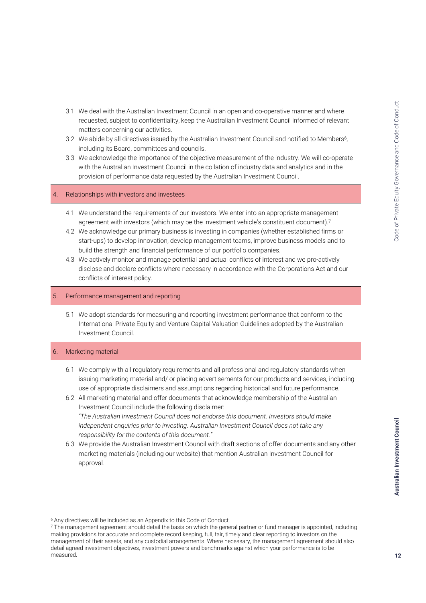- 3.1 We deal with the Australian Investment Council in an open and co-operative manner and where requested, subject to confidentiality, keep the Australian Investment Council informed of relevant matters concerning our activities.
- 3.2 We abide by all directives issued by the Australian Investment Council and notified to Members<sup>6</sup>, including its Board, committees and councils.
- 3.3 We acknowledge the importance of the objective measurement of the industry. We will co-operate with the Australian Investment Council in the collation of industry data and analytics and in the provision of performance data requested by the Australian Investment Council.

### 4. Relationships with investors and investees

- 4.1 We understand the requirements of our investors. We enter into an appropriate management agreement with investors (which may be the investment vehicle's constituent document).<sup>7</sup>
- 4.2 We acknowledge our primary business is investing in companies (whether established firms or start-ups) to develop innovation, develop management teams, improve business models and to build the strength and financial performance of our portfolio companies.
- 4.3 We actively monitor and manage potential and actual conflicts of interest and we pro-actively disclose and declare conflicts where necessary in accordance with the Corporations Act and our conflicts of interest policy.

### 5. Performance management and reporting

5.1 We adopt standards for measuring and reporting investment performance that conform to the International Private Equity and Venture Capital Valuation Guidelines adopted by the Australian Investment Council.

### **Marketing material**

j

- 6.1 We comply with all regulatory requirements and all professional and regulatory standards when issuing marketing material and/ or placing advertisements for our products and services, including use of appropriate disclaimers and assumptions regarding historical and future performance.
- 6.2 All marketing material and offer documents that acknowledge membership of the Australian Investment Council include the following disclaimer: *"The Australian Investment Council does not endorse this document. Investors should make independent enquiries prior to investing. Australian Investment Council does not take any responsibility for the contents of this document."*
- 6.3 We provide the Australian Investment Council with draft sections of offer documents and any other marketing materials (including our website) that mention Australian Investment Council for approval.

<sup>6</sup> Any directives will be included as an Appendix to this Code of Conduct.

<sup>&</sup>lt;sup>7</sup> The management agreement should detail the basis on which the general partner or fund manager is appointed, including making provisions for accurate and complete record keeping, full, fair, timely and clear reporting to investors on the management of their assets, and any custodial arrangements. Where necessary, the management agreement should also detail agreed investment objectives, investment powers and benchmarks against which your performance is to be measured.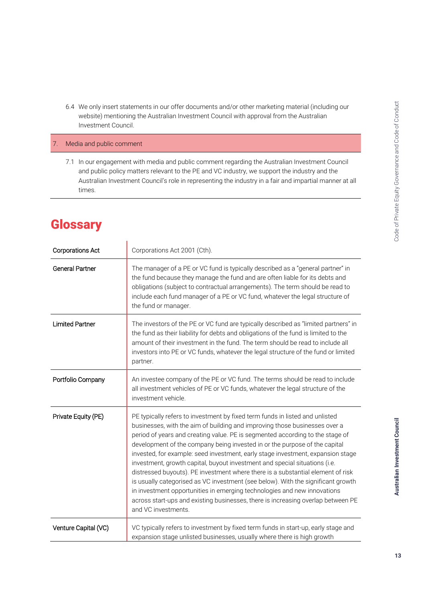6.4 We only insert statements in our offer documents and/or other marketing material (including our website) mentioning the Australian Investment Council with approval from the Australian Investment Council.

### 7. Media and public comment

7.1 In our engagement with media and public comment regarding the Australian Investment Council and public policy matters relevant to the PE and VC industry, we support the industry and the Australian Investment Council's role in representing the industry in a fair and impartial manner at all times.

# **Glossary**

| <b>Corporations Act</b> | Corporations Act 2001 (Cth).                                                                                                                                                                                                                                                                                                                                                                                                                                                                                                                                                                                                                                                                                                                                                                                                                             |  |
|-------------------------|----------------------------------------------------------------------------------------------------------------------------------------------------------------------------------------------------------------------------------------------------------------------------------------------------------------------------------------------------------------------------------------------------------------------------------------------------------------------------------------------------------------------------------------------------------------------------------------------------------------------------------------------------------------------------------------------------------------------------------------------------------------------------------------------------------------------------------------------------------|--|
| <b>General Partner</b>  | The manager of a PE or VC fund is typically described as a "general partner" in<br>the fund because they manage the fund and are often liable for its debts and<br>obligations (subject to contractual arrangements). The term should be read to<br>include each fund manager of a PE or VC fund, whatever the legal structure of<br>the fund or manager.                                                                                                                                                                                                                                                                                                                                                                                                                                                                                                |  |
| <b>Limited Partner</b>  | The investors of the PE or VC fund are typically described as "limited partners" in<br>the fund as their liability for debts and obligations of the fund is limited to the<br>amount of their investment in the fund. The term should be read to include all<br>investors into PE or VC funds, whatever the legal structure of the fund or limited<br>partner.                                                                                                                                                                                                                                                                                                                                                                                                                                                                                           |  |
| Portfolio Company       | An investee company of the PE or VC fund. The terms should be read to include<br>all investment vehicles of PE or VC funds, whatever the legal structure of the<br>investment vehicle.                                                                                                                                                                                                                                                                                                                                                                                                                                                                                                                                                                                                                                                                   |  |
| Private Equity (PE)     | PE typically refers to investment by fixed term funds in listed and unlisted<br>businesses, with the aim of building and improving those businesses over a<br>period of years and creating value. PE is segmented according to the stage of<br>development of the company being invested in or the purpose of the capital<br>invested, for example: seed investment, early stage investment, expansion stage<br>investment, growth capital, buyout investment and special situations (i.e.<br>distressed buyouts). PE investment where there is a substantial element of risk<br>is usually categorised as VC investment (see below). With the significant growth<br>in investment opportunities in emerging technologies and new innovations<br>across start-ups and existing businesses, there is increasing overlap between PE<br>and VC investments. |  |
| Venture Capital (VC)    | VC typically refers to investment by fixed term funds in start-up, early stage and<br>expansion stage unlisted businesses, usually where there is high growth                                                                                                                                                                                                                                                                                                                                                                                                                                                                                                                                                                                                                                                                                            |  |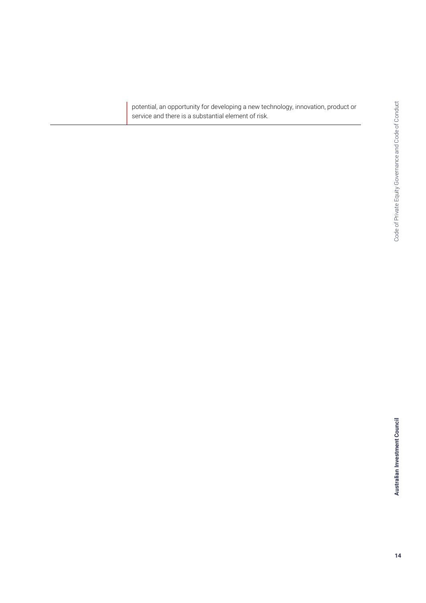potential, an opportunity for developing a new technology, innovation, product or service and there is a substantial element of risk.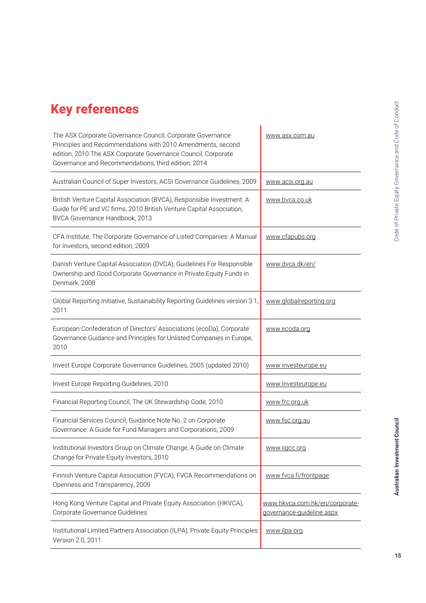# Key references

| The ASX Corporate Governance Council, Corporate Governance<br>Principles and Recommendations with 2010 Amendments, second<br>edition, 2010 The ASX Corporate Governance Council, Corporate<br>Governance and Recommendations, third edition, 2014. | www.asx.com.au                                              |
|----------------------------------------------------------------------------------------------------------------------------------------------------------------------------------------------------------------------------------------------------|-------------------------------------------------------------|
| Australian Council of Super Investors, ACSI Governance Guidelines, 2009                                                                                                                                                                            | www.acsi.org.au                                             |
| British Venture Capital Association (BVCA), Responsible Investment: A<br>Guide for PE and VC firms, 2010 British Venture Capital Association,<br>BVCA Governance Handbook, 2013                                                                    | www.bvca.co.uk                                              |
| CFA Institute, The Corporate Governance of Listed Companies: A Manual<br>for Investors, second edition, 2009                                                                                                                                       | www.cfapubs.org                                             |
| Danish Venture Capital Association (DVCA), Guidelines For Responsible<br>Ownership and Good Corporate Governance in Private Equity Funds in<br>Denmark, 2008                                                                                       | www.dvca.dk/en/                                             |
| Global Reporting Initiative, Sustainability Reporting Guidelines version 3.1,<br>2011                                                                                                                                                              | www.globalreporting.org                                     |
| European Confederation of Directors' Associations (ecoDa), Corporate<br>Governance Guidance and Principles for Unlisted Companies in Europe,<br>2010                                                                                               | www.ecoda.org                                               |
| Invest Europe Corporate Governance Guidelines, 2005 (updated 2010)                                                                                                                                                                                 | www.investeurope.eu                                         |
| Invest Europe Reporting Guidelines, 2010                                                                                                                                                                                                           | www.investeurope.eu                                         |
| Financial Reporting Council, The UK Stewardship Code, 2010                                                                                                                                                                                         | www.frc.org.uk                                              |
| Financial Services Council, Guidance Note No. 2 on Corporate<br>Governance: A Guide for Fund Managers and Corporations, 2009                                                                                                                       | www.fsc.org.au                                              |
| Institutional Investors Group on Climate Change, A Guide on Climate<br>Change for Private Equity Investors, 2010                                                                                                                                   | www.iigcc.org                                               |
| Finnish Venture Capital Association (FVCA), FVCA Recommendations on<br>Openness and Transparency, 2009                                                                                                                                             | www.fvca.fi/frontpage                                       |
| Hong Kong Venture Capital and Private Equity Association (HKVCA),<br>Corporate Governance Guidelines                                                                                                                                               | www.hkvca.com.hk/en/corporate-<br>governance-guideline.aspx |
| Institutional Limited Partners Association (ILPA), Private Equity Principles<br>Version 2.0, 2011                                                                                                                                                  | www.ilpa.org                                                |